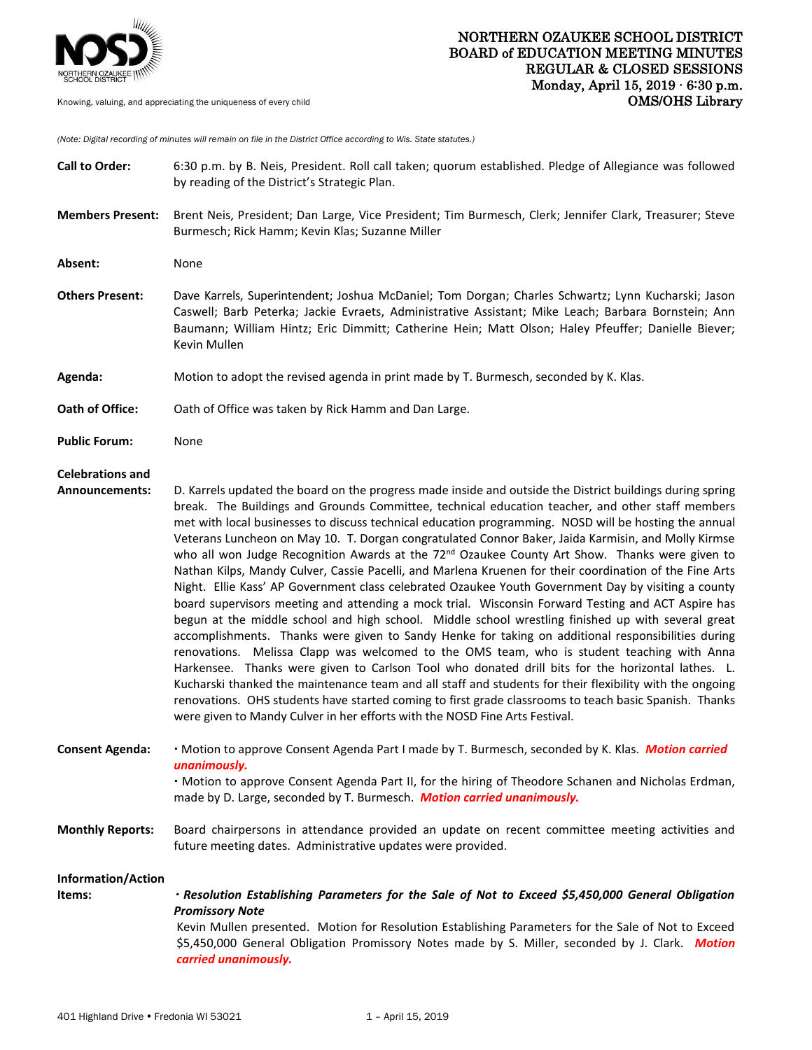

*(Note: Digital recording of minutes will remain on file in the District Office according to Wis. State statutes.)*

| <b>Call to Order:</b>                            | 6:30 p.m. by B. Neis, President. Roll call taken; quorum established. Pledge of Allegiance was followed<br>by reading of the District's Strategic Plan.                                                                                                                                                                                                                                                                                                                                                                                                                                                                                                                                                                                                                                                                                                                                                                                                                                                                                                                                                                                                                                                                                                                                                                                                                                                                                                                                                                                                                                 |
|--------------------------------------------------|-----------------------------------------------------------------------------------------------------------------------------------------------------------------------------------------------------------------------------------------------------------------------------------------------------------------------------------------------------------------------------------------------------------------------------------------------------------------------------------------------------------------------------------------------------------------------------------------------------------------------------------------------------------------------------------------------------------------------------------------------------------------------------------------------------------------------------------------------------------------------------------------------------------------------------------------------------------------------------------------------------------------------------------------------------------------------------------------------------------------------------------------------------------------------------------------------------------------------------------------------------------------------------------------------------------------------------------------------------------------------------------------------------------------------------------------------------------------------------------------------------------------------------------------------------------------------------------------|
| <b>Members Present:</b>                          | Brent Neis, President; Dan Large, Vice President; Tim Burmesch, Clerk; Jennifer Clark, Treasurer; Steve<br>Burmesch; Rick Hamm; Kevin Klas; Suzanne Miller                                                                                                                                                                                                                                                                                                                                                                                                                                                                                                                                                                                                                                                                                                                                                                                                                                                                                                                                                                                                                                                                                                                                                                                                                                                                                                                                                                                                                              |
| Absent:                                          | None                                                                                                                                                                                                                                                                                                                                                                                                                                                                                                                                                                                                                                                                                                                                                                                                                                                                                                                                                                                                                                                                                                                                                                                                                                                                                                                                                                                                                                                                                                                                                                                    |
| <b>Others Present:</b>                           | Dave Karrels, Superintendent; Joshua McDaniel; Tom Dorgan; Charles Schwartz; Lynn Kucharski; Jason<br>Caswell; Barb Peterka; Jackie Evraets, Administrative Assistant; Mike Leach; Barbara Bornstein; Ann<br>Baumann; William Hintz; Eric Dimmitt; Catherine Hein; Matt Olson; Haley Pfeuffer; Danielle Biever;<br>Kevin Mullen                                                                                                                                                                                                                                                                                                                                                                                                                                                                                                                                                                                                                                                                                                                                                                                                                                                                                                                                                                                                                                                                                                                                                                                                                                                         |
| Agenda:                                          | Motion to adopt the revised agenda in print made by T. Burmesch, seconded by K. Klas.                                                                                                                                                                                                                                                                                                                                                                                                                                                                                                                                                                                                                                                                                                                                                                                                                                                                                                                                                                                                                                                                                                                                                                                                                                                                                                                                                                                                                                                                                                   |
| Oath of Office:                                  | Oath of Office was taken by Rick Hamm and Dan Large.                                                                                                                                                                                                                                                                                                                                                                                                                                                                                                                                                                                                                                                                                                                                                                                                                                                                                                                                                                                                                                                                                                                                                                                                                                                                                                                                                                                                                                                                                                                                    |
| <b>Public Forum:</b>                             | None                                                                                                                                                                                                                                                                                                                                                                                                                                                                                                                                                                                                                                                                                                                                                                                                                                                                                                                                                                                                                                                                                                                                                                                                                                                                                                                                                                                                                                                                                                                                                                                    |
| <b>Celebrations and</b><br><b>Announcements:</b> | D. Karrels updated the board on the progress made inside and outside the District buildings during spring<br>break. The Buildings and Grounds Committee, technical education teacher, and other staff members<br>met with local businesses to discuss technical education programming. NOSD will be hosting the annual<br>Veterans Luncheon on May 10. T. Dorgan congratulated Connor Baker, Jaida Karmisin, and Molly Kirmse<br>who all won Judge Recognition Awards at the 72 <sup>nd</sup> Ozaukee County Art Show. Thanks were given to<br>Nathan Kilps, Mandy Culver, Cassie Pacelli, and Marlena Kruenen for their coordination of the Fine Arts<br>Night. Ellie Kass' AP Government class celebrated Ozaukee Youth Government Day by visiting a county<br>board supervisors meeting and attending a mock trial. Wisconsin Forward Testing and ACT Aspire has<br>begun at the middle school and high school. Middle school wrestling finished up with several great<br>accomplishments. Thanks were given to Sandy Henke for taking on additional responsibilities during<br>renovations. Melissa Clapp was welcomed to the OMS team, who is student teaching with Anna<br>Harkensee. Thanks were given to Carlson Tool who donated drill bits for the horizontal lathes. L.<br>Kucharski thanked the maintenance team and all staff and students for their flexibility with the ongoing<br>renovations. OHS students have started coming to first grade classrooms to teach basic Spanish. Thanks<br>were given to Mandy Culver in her efforts with the NOSD Fine Arts Festival. |
| <b>Consent Agenda:</b>                           | · Motion to approve Consent Agenda Part I made by T. Burmesch, seconded by K. Klas. Motion carried<br>unanimously.<br>· Motion to approve Consent Agenda Part II, for the hiring of Theodore Schanen and Nicholas Erdman,<br>made by D. Large, seconded by T. Burmesch. Motion carried unanimously.                                                                                                                                                                                                                                                                                                                                                                                                                                                                                                                                                                                                                                                                                                                                                                                                                                                                                                                                                                                                                                                                                                                                                                                                                                                                                     |
| <b>Monthly Reports:</b>                          | Board chairpersons in attendance provided an update on recent committee meeting activities and<br>future meeting dates. Administrative updates were provided.                                                                                                                                                                                                                                                                                                                                                                                                                                                                                                                                                                                                                                                                                                                                                                                                                                                                                                                                                                                                                                                                                                                                                                                                                                                                                                                                                                                                                           |
| Information/Action<br>Items:                     | · Resolution Establishing Parameters for the Sale of Not to Exceed \$5,450,000 General Obligation<br><b>Promissory Note</b><br>Kevin Mullen presented. Motion for Resolution Establishing Parameters for the Sale of Not to Exceed<br>\$5,450,000 General Obligation Promissory Notes made by S. Miller, seconded by J. Clark. Motion<br>carried unanimously.                                                                                                                                                                                                                                                                                                                                                                                                                                                                                                                                                                                                                                                                                                                                                                                                                                                                                                                                                                                                                                                                                                                                                                                                                           |